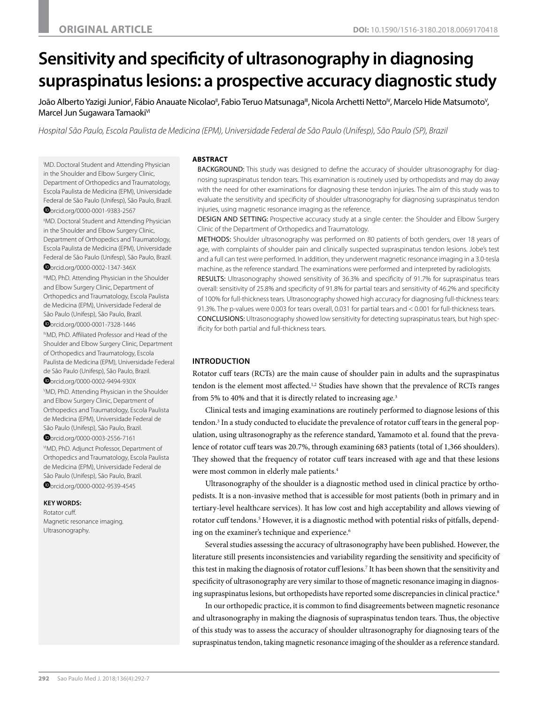# **Sensitivity and specificity of ultrasonography in diagnosing supraspinatus lesions: a prospective accuracy diagnostic study**

João Alberto Yazigi Junior', Fábio Anauate Nicolao", Fabio Teruo Matsunaga'", Nicola Archetti Netto<sup>v</sup>, Marcelo Hide Matsumoto<sup>v</sup>, Marcel Jun Sugawara Tamaoki<sup>vi</sup>

*Hospital São Paulo, Escola Paulista de Medicina (EPM), Universidade Federal de São Paulo (Unifesp), São Paulo (SP), Brazil*

I MD. Doctoral Student and Attending Physician in the Shoulder and Elbow Surgery Clinic, Department of Orthopedics and Traumatology, Escola Paulista de Medicina (EPM), Universidade Federal de São Paulo (Unifesp), São Paulo, Brazil.

[o](http://orcid.org/0000-0001-9383-2567)rcid.org/0000-0001-9383-2567 "MD. Doctoral Student and Attending Physician in the Shoulder and Elbow Surgery Clinic, Department of Orthopedics and Traumatology, Escola Paulista de Medicina (EPM), Universidade Federal de São Paulo (Unifesp), São Paulo, Brazil.

[o](http://orcid.org/0000-0002-1347-346X)rcid.org/0000-0002-1347-346X IIIMD, PhD. Attending Physician in the Shoulder and Elbow Surgery Clinic, Department of Orthopedics and Traumatology, Escola Paulista de Medicina (EPM), Universidade Federal de São Paulo (Unifesp), São Paulo, Brazil. [o](http://orcid.org/0000-0001-7328-1446)rcid.org/0000-0001-7328-1446

IVMD, PhD. Affiliated Professor and Head of the Shoulder and Elbow Surgery Clinic, Department of Orthopedics and Traumatology, Escola Paulista de Medicina (EPM), Universidade Federal de São Paulo (Unifesp), São Paulo, Brazil.

[o](http://orcid.org/0000-0002-9494-930X)rcid.org/0000-0002-9494-930X

V MD, PhD. Attending Physician in the Shoulder and Elbow Surgery Clinic, Department of Orthopedics and Traumatology, Escola Paulista de Medicina (EPM), Universidade Federal de São Paulo (Unifesp), São Paulo, Brazil.

[o](http://orcid.org/0000-0003-2556-7161)rcid.org/0000-0003-2556-7161

VIMD, PhD. Adjunct Professor, Department of Orthopedics and Traumatology, Escola Paulista de Medicina (EPM), Universidade Federal de São Paulo (Unifesp), São Paulo, Brazil.

**O**[o](http://orcid.org/0000-0002-9539-4545)rcid.org/0000-0002-9539-4545

#### **KEY WORDS:**

Rotator cuff. Magnetic resonance imaging. Ultrasonography.

#### **ABSTRACT**

BACKGROUND: This study was designed to define the accuracy of shoulder ultrasonography for diagnosing supraspinatus tendon tears. This examination is routinely used by orthopedists and may do away with the need for other examinations for diagnosing these tendon injuries. The aim of this study was to evaluate the sensitivity and specificity of shoulder ultrasonography for diagnosing supraspinatus tendon injuries, using magnetic resonance imaging as the reference.

DESIGN AND SETTING: Prospective accuracy study at a single center: the Shoulder and Elbow Surgery Clinic of the Department of Orthopedics and Traumatology.

METHODS: Shoulder ultrasonography was performed on 80 patients of both genders, over 18 years of age, with complaints of shoulder pain and clinically suspected supraspinatus tendon lesions. Jobe's test and a full can test were performed. In addition, they underwent magnetic resonance imaging in a 3.0-tesla machine, as the reference standard. The examinations were performed and interpreted by radiologists.

RESULTS: Ultrasonography showed sensitivity of 36.3% and specificity of 91.7% for supraspinatus tears overall: sensitivity of 25.8% and specificity of 91.8% for partial tears and sensitivity of 46.2% and specificity of 100% for full-thickness tears. Ultrasonography showed high accuracy for diagnosing full-thickness tears: 91.3%. The p-values were 0.003 for tears overall, 0.031 for partial tears and < 0.001 for full-thickness tears. CONCLUSIONS: Ultrasonography showed low sensitivity for detecting supraspinatus tears, but high specificity for both partial and full-thickness tears.

### **INTRODUCTION**

Rotator cuff tears (RCTs) are the main cause of shoulder pain in adults and the supraspinatus tendon is the element most affected.<sup>1,2</sup> Studies have shown that the prevalence of RCTs ranges from 5% to 40% and that it is directly related to increasing age.<sup>3</sup>

Clinical tests and imaging examinations are routinely performed to diagnose lesions of this tendon.<sup>3</sup> In a study conducted to elucidate the prevalence of rotator cuff tears in the general population, using ultrasonography as the reference standard, Yamamoto et al. found that the prevalence of rotator cuff tears was 20.7%, through examining 683 patients (total of 1,366 shoulders). They showed that the frequency of rotator cuff tears increased with age and that these lesions were most common in elderly male patients.4

Ultrasonography of the shoulder is a diagnostic method used in clinical practice by orthopedists. It is a non-invasive method that is accessible for most patients (both in primary and in tertiary-level healthcare services). It has low cost and high acceptability and allows viewing of rotator cuff tendons.<sup>5</sup> However, it is a diagnostic method with potential risks of pitfalls, depending on the examiner's technique and experience.<sup>6</sup>

Several studies assessing the accuracy of ultrasonography have been published. However, the literature still presents inconsistencies and variability regarding the sensitivity and specificity of this test in making the diagnosis of rotator cuff lesions.<sup>7</sup> It has been shown that the sensitivity and specificity of ultrasonography are very similar to those of magnetic resonance imaging in diagnosing supraspinatus lesions, but orthopedists have reported some discrepancies in clinical practice.<sup>8</sup>

In our orthopedic practice, it is common to find disagreements between magnetic resonance and ultrasonography in making the diagnosis of supraspinatus tendon tears. Thus, the objective of this study was to assess the accuracy of shoulder ultrasonography for diagnosing tears of the supraspinatus tendon, taking magnetic resonance imaging of the shoulder as a reference standard.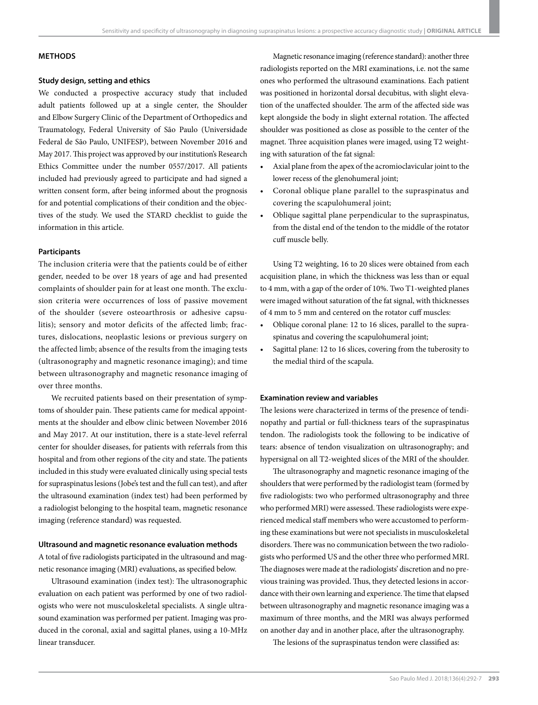#### **METHODS**

# **Study design, setting and ethics**

We conducted a prospective accuracy study that included adult patients followed up at a single center, the Shoulder and Elbow Surgery Clinic of the Department of Orthopedics and Traumatology, Federal University of São Paulo (Universidade Federal de São Paulo, UNIFESP), between November 2016 and May 2017. This project was approved by our institution's Research Ethics Committee under the number 0557/2017. All patients included had previously agreed to participate and had signed a written consent form, after being informed about the prognosis for and potential complications of their condition and the objectives of the study. We used the STARD checklist to guide the information in this article.

# **Participants**

The inclusion criteria were that the patients could be of either gender, needed to be over 18 years of age and had presented complaints of shoulder pain for at least one month. The exclusion criteria were occurrences of loss of passive movement of the shoulder (severe osteoarthrosis or adhesive capsulitis); sensory and motor deficits of the affected limb; fractures, dislocations, neoplastic lesions or previous surgery on the affected limb; absence of the results from the imaging tests (ultrasonography and magnetic resonance imaging); and time between ultrasonography and magnetic resonance imaging of over three months.

We recruited patients based on their presentation of symptoms of shoulder pain. These patients came for medical appointments at the shoulder and elbow clinic between November 2016 and May 2017. At our institution, there is a state-level referral center for shoulder diseases, for patients with referrals from this hospital and from other regions of the city and state. The patients included in this study were evaluated clinically using special tests for supraspinatus lesions (Jobe's test and the full can test), and after the ultrasound examination (index test) had been performed by a radiologist belonging to the hospital team, magnetic resonance imaging (reference standard) was requested.

#### **Ultrasound and magnetic resonance evaluation methods**

A total of five radiologists participated in the ultrasound and magnetic resonance imaging (MRI) evaluations, as specified below.

Ultrasound examination (index test): The ultrasonographic evaluation on each patient was performed by one of two radiologists who were not musculoskeletal specialists. A single ultrasound examination was performed per patient. Imaging was produced in the coronal, axial and sagittal planes, using a 10-MHz linear transducer.

Magnetic resonance imaging (reference standard): another three radiologists reported on the MRI examinations, i.e. not the same ones who performed the ultrasound examinations. Each patient was positioned in horizontal dorsal decubitus, with slight elevation of the unaffected shoulder. The arm of the affected side was kept alongside the body in slight external rotation. The affected shoulder was positioned as close as possible to the center of the magnet. Three acquisition planes were imaged, using T2 weighting with saturation of the fat signal:

- Axial plane from the apex of the acromioclavicular joint to the lower recess of the glenohumeral joint;
- Coronal oblique plane parallel to the supraspinatus and covering the scapulohumeral joint;
- Oblique sagittal plane perpendicular to the supraspinatus, from the distal end of the tendon to the middle of the rotator cuff muscle belly.

Using T2 weighting, 16 to 20 slices were obtained from each acquisition plane, in which the thickness was less than or equal to 4 mm, with a gap of the order of 10%. Two T1-weighted planes were imaged without saturation of the fat signal, with thicknesses of 4 mm to 5 mm and centered on the rotator cuff muscles:

- Oblique coronal plane: 12 to 16 slices, parallel to the supraspinatus and covering the scapulohumeral joint;
- Sagittal plane: 12 to 16 slices, covering from the tuberosity to the medial third of the scapula.

#### **Examination review and variables**

The lesions were characterized in terms of the presence of tendinopathy and partial or full-thickness tears of the supraspinatus tendon. The radiologists took the following to be indicative of tears: absence of tendon visualization on ultrasonography; and hypersignal on all T2-weighted slices of the MRI of the shoulder.

The ultrasonography and magnetic resonance imaging of the shoulders that were performed by the radiologist team (formed by five radiologists: two who performed ultrasonography and three who performed MRI) were assessed. These radiologists were experienced medical staff members who were accustomed to performing these examinations but were not specialists in musculoskeletal disorders. There was no communication between the two radiologists who performed US and the other three who performed MRI. The diagnoses were made at the radiologists' discretion and no previous training was provided. Thus, they detected lesions in accordance with their own learning and experience. The time that elapsed between ultrasonography and magnetic resonance imaging was a maximum of three months, and the MRI was always performed on another day and in another place, after the ultrasonography.

The lesions of the supraspinatus tendon were classified as: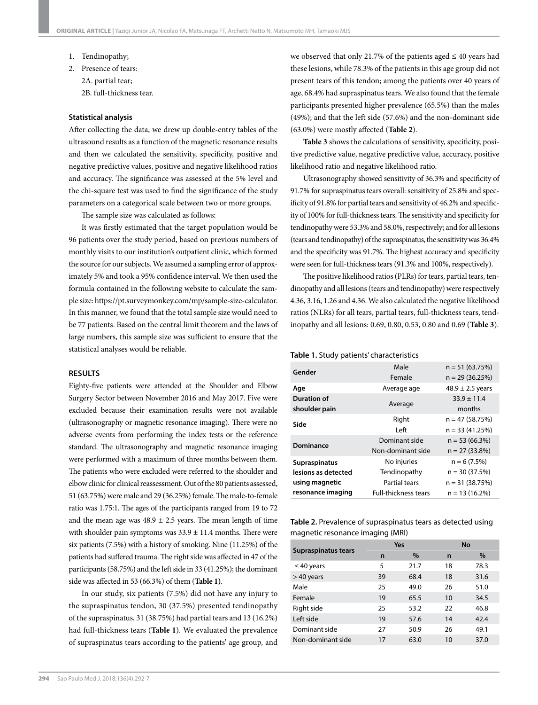- 1. Tendinopathy;
- 2. Presence of tears: 2A. partial tear; 2B. full-thickness tear.

#### **Statistical analysis**

After collecting the data, we drew up double-entry tables of the ultrasound results as a function of the magnetic resonance results and then we calculated the sensitivity, specificity, positive and negative predictive values, positive and negative likelihood ratios and accuracy. The significance was assessed at the 5% level and the chi-square test was used to find the significance of the study parameters on a categorical scale between two or more groups.

The sample size was calculated as follows:

It was firstly estimated that the target population would be 96 patients over the study period, based on previous numbers of monthly visits to our institution's outpatient clinic, which formed the source for our subjects. We assumed a sampling error of approximately 5% and took a 95% confidence interval. We then used the formula contained in the following website to calculate the sample size: https://pt.surveymonkey.com/mp/sample-size-calculator. In this manner, we found that the total sample size would need to be 77 patients. Based on the central limit theorem and the laws of large numbers, this sample size was sufficient to ensure that the statistical analyses would be reliable.

#### **RESULTS**

Eighty-five patients were attended at the Shoulder and Elbow Surgery Sector between November 2016 and May 2017. Five were excluded because their examination results were not available (ultrasonography or magnetic resonance imaging). There were no adverse events from performing the index tests or the reference standard. The ultrasonography and magnetic resonance imaging were performed with a maximum of three months between them. The patients who were excluded were referred to the shoulder and elbow clinic for clinical reassessment. Out of the 80 patients assessed, 51 (63.75%) were male and 29 (36.25%) female. The male-to-female ratio was 1.75:1. The ages of the participants ranged from 19 to 72 and the mean age was  $48.9 \pm 2.5$  years. The mean length of time with shoulder pain symptoms was  $33.9 \pm 11.4$  months. There were six patients (7.5%) with a history of smoking. Nine (11.25%) of the patients had suffered trauma. The right side was affected in 47 of the participants (58.75%) and the left side in 33 (41.25%); the dominant side was affected in 53 (66.3%) of them (**Table 1)**.

In our study, six patients (7.5%) did not have any injury to the supraspinatus tendon, 30 (37.5%) presented tendinopathy of the supraspinatus, 31 (38.75%) had partial tears and 13 (16.2%) had full-thickness tears (**Table 1**). We evaluated the prevalence of supraspinatus tears according to the patients' age group, and

we observed that only 21.7% of the patients aged  $\leq 40$  years had these lesions, while 78.3% of the patients in this age group did not present tears of this tendon; among the patients over 40 years of age, 68.4% had supraspinatus tears. We also found that the female participants presented higher prevalence (65.5%) than the males (49%); and that the left side (57.6%) and the non-dominant side (63.0%) were mostly affected (**Table 2**).

**Table 3** shows the calculations of sensitivity, specificity, positive predictive value, negative predictive value, accuracy, positive likelihood ratio and negative likelihood ratio.

Ultrasonography showed sensitivity of 36.3% and specificity of 91.7% for supraspinatus tears overall: sensitivity of 25.8% and specificity of 91.8% for partial tears and sensitivity of 46.2% and specificity of 100% for full-thickness tears. The sensitivity and specificity for tendinopathy were 53.3% and 58.0%, respectively; and for all lesions (tears and tendinopathy) of the supraspinatus, the sensitivity was 36.4% and the specificity was 91.7%. The highest accuracy and specificity were seen for full-thickness tears (91.3% and 100%, respectively).

The positive likelihood ratios (PLRs) for tears, partial tears, tendinopathy and all lesions (tears and tendinopathy) were respectively 4.36, 3.16, 1.26 and 4.36. We also calculated the negative likelihood ratios (NLRs) for all tears, partial tears, full-thickness tears, tendinopathy and all lesions: 0.69, 0.80, 0.53, 0.80 and 0.69 (**Table 3**).

#### **Table 1.** Study patients' characteristics

| Gender              | Male                                           | $n = 51(63.75%)$     |  |
|---------------------|------------------------------------------------|----------------------|--|
|                     | Female                                         | $n = 29(36.25%)$     |  |
| Age                 | Average age                                    | $48.9 \pm 2.5$ years |  |
| Duration of         | Average                                        | $33.9 \pm 11.4$      |  |
| shoulder pain       |                                                | months               |  |
| Side                | Right                                          | $n = 47(58.75%)$     |  |
|                     | Left                                           | $n = 33(41.25%)$     |  |
| Dominance           | Dominant side                                  | $n = 53(66.3%)$      |  |
|                     | Non-dominant side                              | $n = 27(33.8%)$      |  |
| Supraspinatus       | No injuries                                    | $n = 6(7.5%)$        |  |
| lesions as detected | Tendinopathy                                   | $n = 30(37.5%)$      |  |
| using magnetic      | <b>Partial tears</b>                           | $n = 31(38.75%)$     |  |
| resonance imaging   | <b>Full-thickness tears</b><br>$n = 13(16.2%)$ |                      |  |

**Table 2.** Prevalence of supraspinatus tears as detected using magnetic resonance imaging (MRI)

|                     | Yes |      | No |      |
|---------------------|-----|------|----|------|
| Supraspinatus tears | n   | $\%$ | n  | $\%$ |
| $\leq 40$ years     | 5   | 21.7 | 18 | 78.3 |
| $>40$ years         | 39  | 68.4 | 18 | 31.6 |
| Male                | 25  | 49.0 | 26 | 51.0 |
| Female              | 19  | 65.5 | 10 | 34.5 |
| Right side          | 25  | 53.2 | 22 | 46.8 |
| Left side           | 19  | 57.6 | 14 | 42.4 |
| Dominant side       | 27  | 50.9 | 26 | 49.1 |
| Non-dominant side   | 17  | 63.0 | 10 | 37.0 |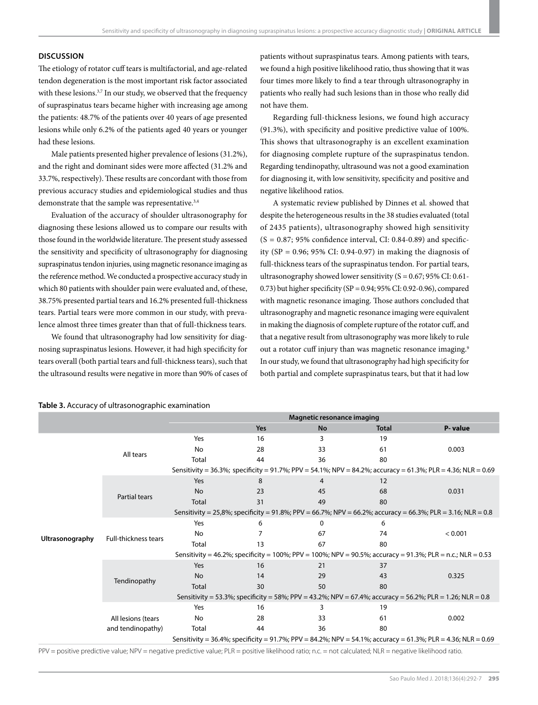# **DISCUSSION**

The etiology of rotator cuff tears is multifactorial, and age-related tendon degeneration is the most important risk factor associated with these lesions.<sup>3,7</sup> In our study, we observed that the frequency of supraspinatus tears became higher with increasing age among the patients: 48.7% of the patients over 40 years of age presented lesions while only 6.2% of the patients aged 40 years or younger had these lesions.

Male patients presented higher prevalence of lesions (31.2%), and the right and dominant sides were more affected (31.2% and 33.7%, respectively). These results are concordant with those from previous accuracy studies and epidemiological studies and thus demonstrate that the sample was representative.<sup>3,4</sup>

Evaluation of the accuracy of shoulder ultrasonography for diagnosing these lesions allowed us to compare our results with those found in the worldwide literature. The present study assessed the sensitivity and specificity of ultrasonography for diagnosing supraspinatus tendon injuries, using magnetic resonance imaging as the reference method. We conducted a prospective accuracy study in which 80 patients with shoulder pain were evaluated and, of these, 38.75% presented partial tears and 16.2% presented full-thickness tears. Partial tears were more common in our study, with prevalence almost three times greater than that of full-thickness tears.

We found that ultrasonography had low sensitivity for diagnosing supraspinatus lesions. However, it had high specificity for tears overall (both partial tears and full-thickness tears), such that the ultrasound results were negative in more than 90% of cases of patients without supraspinatus tears. Among patients with tears, we found a high positive likelihood ratio, thus showing that it was four times more likely to find a tear through ultrasonography in patients who really had such lesions than in those who really did not have them.

Regarding full-thickness lesions, we found high accuracy (91.3%), with specificity and positive predictive value of 100%. This shows that ultrasonography is an excellent examination for diagnosing complete rupture of the supraspinatus tendon. Regarding tendinopathy, ultrasound was not a good examination for diagnosing it, with low sensitivity, specificity and positive and negative likelihood ratios.

A systematic review published by Dinnes et al. showed that despite the heterogeneous results in the 38 studies evaluated (total of 2435 patients), ultrasonography showed high sensitivity  $(S = 0.87; 95\%$  confidence interval, CI: 0.84-0.89) and specificity (SP =  $0.96$ ; 95% CI:  $0.94-0.97$ ) in making the diagnosis of full-thickness tears of the supraspinatus tendon. For partial tears, ultrasonography showed lower sensitivity ( $S = 0.67$ ; 95% CI: 0.61-0.73) but higher specificity (SP =  $0.94$ ; 95% CI: 0.92-0.96), compared with magnetic resonance imaging. Those authors concluded that ultrasonography and magnetic resonance imaging were equivalent in making the diagnosis of complete rupture of the rotator cuff, and that a negative result from ultrasonography was more likely to rule out a rotator cuff injury than was magnetic resonance imaging.<sup>9</sup> In our study, we found that ultrasonography had high specificity for both partial and complete supraspinatus tears, but that it had low

|                 |                                                                                                             | Magnetic resonance imaging |     |    |              |                                                                                                              |  |
|-----------------|-------------------------------------------------------------------------------------------------------------|----------------------------|-----|----|--------------|--------------------------------------------------------------------------------------------------------------|--|
|                 |                                                                                                             |                            | Yes | No | <b>Total</b> | P-value                                                                                                      |  |
| Ultrasonography | All tears                                                                                                   | Yes                        | 16  | 3  | 19           |                                                                                                              |  |
|                 |                                                                                                             | No                         | 28  | 33 | 61           | 0.003                                                                                                        |  |
|                 |                                                                                                             | Total                      | 44  | 36 | 80           |                                                                                                              |  |
|                 |                                                                                                             |                            |     |    |              | Sensitivity = 36.3%; specificity = 91.7%; PPV = 54.1%; NPV = 84.2%; accuracy = 61.3%; PLR = 4.36; NLR = 0.69 |  |
|                 | Partial tears                                                                                               | Yes                        | 8   | 4  | 12           |                                                                                                              |  |
|                 |                                                                                                             | No                         | 23  | 45 | 68           | 0.031                                                                                                        |  |
|                 |                                                                                                             | Total                      | 31  | 49 | 80           |                                                                                                              |  |
|                 | Sensitivity = 25,8%; specificity = 91.8%; PPV = 66.7%; NPV = 66.2%; accuracy = 66.3%; PLR = 3.16; NLR = 0.8 |                            |     |    |              |                                                                                                              |  |
|                 | Full-thickness tears                                                                                        | Yes                        | 6   | 0  | 6            |                                                                                                              |  |
|                 |                                                                                                             | No                         |     | 67 | 74           | < 0.001                                                                                                      |  |
|                 |                                                                                                             | Total                      | 13  | 67 | 80           |                                                                                                              |  |
|                 | Sensitivity = 46.2%; specificity = 100%; PPV = 100%; NPV = 90.5%; accuracy = 91.3%; PLR = n.c.; NLR = 0.53  |                            |     |    |              |                                                                                                              |  |
|                 | Tendinopathy                                                                                                | Yes                        | 16  | 21 | 37           |                                                                                                              |  |
|                 |                                                                                                             | <b>No</b>                  | 14  | 29 | 43           | 0.325                                                                                                        |  |
|                 |                                                                                                             | Total                      | 30  | 50 | 80           |                                                                                                              |  |
|                 | Sensitivity = 53.3%; specificity = 58%; PPV = 43.2%; NPV = 67.4%; accuracy = 56.2%; PLR = 1.26; NLR = 0.8   |                            |     |    |              |                                                                                                              |  |
|                 |                                                                                                             | Yes                        | 16  | 3  | 19           |                                                                                                              |  |
|                 | All lesions (tears                                                                                          | No                         | 28  | 33 | 61           | 0.002                                                                                                        |  |
|                 | and tendinopathy)                                                                                           | Total                      | 44  | 36 | 80           |                                                                                                              |  |
|                 |                                                                                                             |                            |     |    |              | Sensitivity = 36.4%; specificity = 91.7%; PPV = 84.2%; NPV = 54.1%; accuracy = 61.3%; PLR = 4.36; NLR = 0.69 |  |

#### **Table 3.** Accuracy of ultrasonographic examination

PPV = positive predictive value; NPV = negative predictive value; PLR = positive likelihood ratio; n.c. = not calculated; NLR = negative likelihood ratio.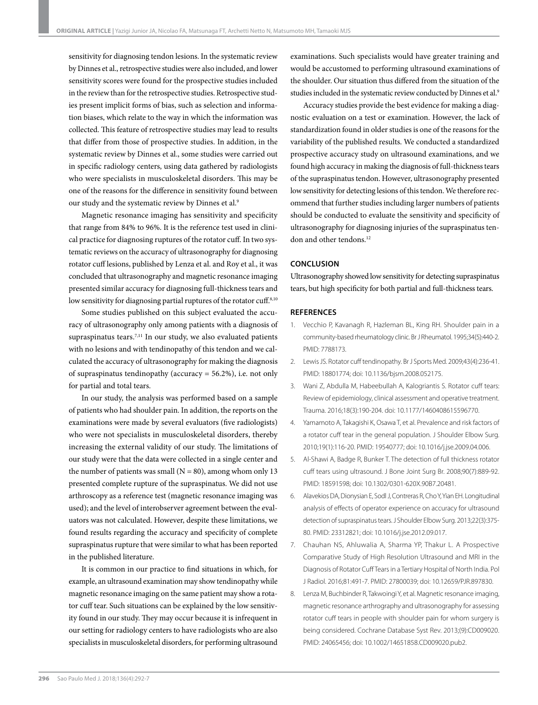sensitivity for diagnosing tendon lesions. In the systematic review by Dinnes et al., retrospective studies were also included, and lower sensitivity scores were found for the prospective studies included in the review than for the retrospective studies. Retrospective studies present implicit forms of bias, such as selection and information biases, which relate to the way in which the information was collected. This feature of retrospective studies may lead to results that differ from those of prospective studies. In addition, in the systematic review by Dinnes et al., some studies were carried out in specific radiology centers, using data gathered by radiologists who were specialists in musculoskeletal disorders. This may be one of the reasons for the difference in sensitivity found between our study and the systematic review by Dinnes et al.<sup>9</sup>

Magnetic resonance imaging has sensitivity and specificity that range from 84% to 96%. It is the reference test used in clinical practice for diagnosing ruptures of the rotator cuff. In two systematic reviews on the accuracy of ultrasonography for diagnosing rotator cuff lesions, published by Lenza et al. and Roy et al., it was concluded that ultrasonography and magnetic resonance imaging presented similar accuracy for diagnosing full-thickness tears and low sensitivity for diagnosing partial ruptures of the rotator cuff.<sup>8,10</sup>

Some studies published on this subject evaluated the accuracy of ultrasonography only among patients with a diagnosis of supraspinatus tears.<sup>7,11</sup> In our study, we also evaluated patients with no lesions and with tendinopathy of this tendon and we calculated the accuracy of ultrasonography for making the diagnosis of supraspinatus tendinopathy (accuracy = 56.2%), i.e. not only for partial and total tears.

In our study, the analysis was performed based on a sample of patients who had shoulder pain. In addition, the reports on the examinations were made by several evaluators (five radiologists) who were not specialists in musculoskeletal disorders, thereby increasing the external validity of our study. The limitations of our study were that the data were collected in a single center and the number of patients was small ( $N = 80$ ), among whom only 13 presented complete rupture of the supraspinatus. We did not use arthroscopy as a reference test (magnetic resonance imaging was used); and the level of interobserver agreement between the evaluators was not calculated. However, despite these limitations, we found results regarding the accuracy and specificity of complete supraspinatus rupture that were similar to what has been reported in the published literature.

It is common in our practice to find situations in which, for example, an ultrasound examination may show tendinopathy while magnetic resonance imaging on the same patient may show a rotator cuff tear. Such situations can be explained by the low sensitivity found in our study. They may occur because it is infrequent in our setting for radiology centers to have radiologists who are also specialists in musculoskeletal disorders, for performing ultrasound

examinations. Such specialists would have greater training and would be accustomed to performing ultrasound examinations of the shoulder. Our situation thus differed from the situation of the studies included in the systematic review conducted by Dinnes et al.<sup>9</sup>

Accuracy studies provide the best evidence for making a diagnostic evaluation on a test or examination. However, the lack of standardization found in older studies is one of the reasons for the variability of the published results. We conducted a standardized prospective accuracy study on ultrasound examinations, and we found high accuracy in making the diagnosis of full-thickness tears of the supraspinatus tendon. However, ultrasonography presented low sensitivity for detecting lesions of this tendon. We therefore recommend that further studies including larger numbers of patients should be conducted to evaluate the sensitivity and specificity of ultrasonography for diagnosing injuries of the supraspinatus tendon and other tendons.<sup>12</sup>

# **CONCLUSION**

Ultrasonography showed low sensitivity for detecting supraspinatus tears, but high specificity for both partial and full-thickness tears.

# **REFERENCES**

- 1. Vecchio P, Kavanagh R, Hazleman BL, King RH. Shoulder pain in a community-based rheumatology clinic. Br J Rheumatol. 1995;34(5):440-2. PMID: 7788173.
- 2. Lewis JS. Rotator cuff tendinopathy. Br J Sports Med. 2009;43(4):236-41. PMID: 18801774; doi: 10.1136/bjsm.2008.052175.
- 3. Wani Z, Abdulla M, Habeebullah A, Kalogriantis S. Rotator cuff tears: Review of epidemiology, clinical assessment and operative treatment. Trauma. 2016;18(3):190-204. doi: 10.1177/1460408615596770.
- 4. Yamamoto A, Takagishi K, Osawa T, et al. Prevalence and risk factors of a rotator cuff tear in the general population. J Shoulder Elbow Surg. 2010;19(1):116-20. PMID: 19540777; doi: 10.1016/j.jse.2009.04.006.
- 5. Al-Shawi A, Badge R, Bunker T. The detection of full thickness rotator cuff tears using ultrasound. J Bone Joint Surg Br. 2008;90(7):889-92. PMID: 18591598; doi: 10.1302/0301-620X.90B7.20481.
- 6. Alavekios DA, Dionysian E, Sodl J, Contreras R, Cho Y, Yian EH. Longitudinal analysis of effects of operator experience on accuracy for ultrasound detection of supraspinatus tears. J Shoulder Elbow Surg. 2013;22(3):375- 80. PMID: 23312821; doi: 10.1016/j.jse.2012.09.017.
- 7. Chauhan NS, Ahluwalia A, Sharma YP, Thakur L. A Prospective Comparative Study of High Resolution Ultrasound and MRI in the Diagnosis of Rotator Cuff Tears in a Tertiary Hospital of North India. Pol J Radiol. 2016;81:491-7. PMID: 27800039; doi: 10.12659/PJR.897830.
- 8. Lenza M, Buchbinder R, Takwoingi Y, et al. Magnetic resonance imaging, magnetic resonance arthrography and ultrasonography for assessing rotator cuff tears in people with shoulder pain for whom surgery is being considered. Cochrane Database Syst Rev. 2013;(9):CD009020. PMID: 24065456; doi: 10.1002/14651858.CD009020.pub2.